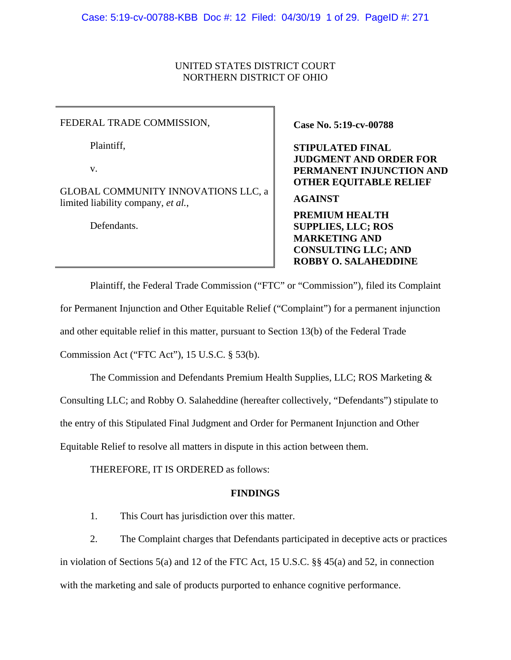# UNITED STATES DISTRICT COURT NORTHERN DISTRICT OF OHIO

FEDERAL TRADE COMMISSION, Case No. 5:19-cv-00788

Plaintiff,

v.

GLOBAL COMMUNITY INNOVATIONS LLC, a limited liability company, *et al.*,

Defendants.

**STIPULATED FINAL JUDGMENT AND ORDER FOR PERMANENT INJUNCTION AND OTHER EQUITABLE RELIEF** 

**AGAINST** 

**PREMIUM HEALTH SUPPLIES, LLC; ROS MARKETING AND CONSULTING LLC; AND ROBBY O. SALAHEDDINE** 

Plaintiff, the Federal Trade Commission ("FTC" or "Commission"), filed its Complaint for Permanent Injunction and Other Equitable Relief ("Complaint") for a permanent injunction and other equitable relief in this matter, pursuant to Section 13(b) of the Federal Trade Commission Act ("FTC Act"), 15 U.S.C. § 53(b).

The Commission and Defendants Premium Health Supplies, LLC; ROS Marketing &

Consulting LLC; and Robby O. Salaheddine (hereafter collectively, "Defendants") stipulate to

the entry of this Stipulated Final Judgment and Order for Permanent Injunction and Other

Equitable Relief to resolve all matters in dispute in this action between them.

THEREFORE, IT IS ORDERED as follows:

# **FINDINGS**

1. This Court has jurisdiction over this matter.

2. The Complaint charges that Defendants participated in deceptive acts or practices in violation of Sections 5(a) and 12 of the FTC Act, 15 U.S.C. §§ 45(a) and 52, in connection with the marketing and sale of products purported to enhance cognitive performance.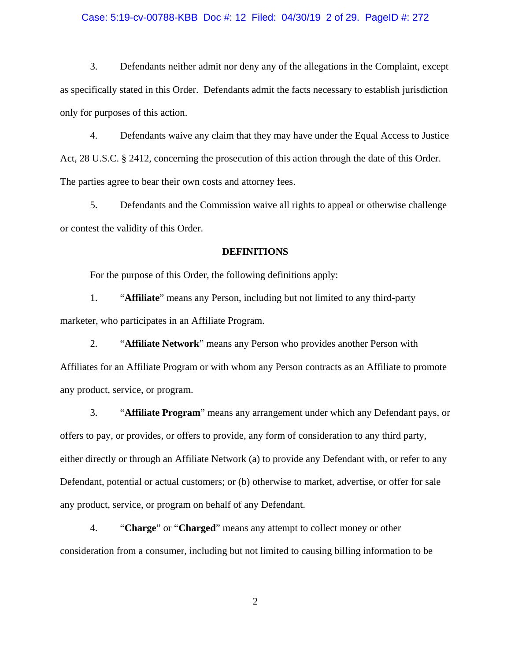#### Case: 5:19-cv-00788-KBB Doc #: 12 Filed: 04/30/19 2 of 29. PageID #: 272

3. Defendants neither admit nor deny any of the allegations in the Complaint, except as specifically stated in this Order. Defendants admit the facts necessary to establish jurisdiction only for purposes of this action.

4. Defendants waive any claim that they may have under the Equal Access to Justice Act, 28 U.S.C. § 2412, concerning the prosecution of this action through the date of this Order. The parties agree to bear their own costs and attorney fees.

5. Defendants and the Commission waive all rights to appeal or otherwise challenge or contest the validity of this Order.

# **DEFINITIONS**

For the purpose of this Order, the following definitions apply:

1. "**Affiliate**" means any Person, including but not limited to any third-party marketer, who participates in an Affiliate Program.

2. "**Affiliate Network**" means any Person who provides another Person with Affiliates for an Affiliate Program or with whom any Person contracts as an Affiliate to promote any product, service, or program.

3. "**Affiliate Program**" means any arrangement under which any Defendant pays, or offers to pay, or provides, or offers to provide, any form of consideration to any third party, either directly or through an Affiliate Network (a) to provide any Defendant with, or refer to any Defendant, potential or actual customers; or (b) otherwise to market, advertise, or offer for sale any product, service, or program on behalf of any Defendant.

4. "**Charge**" or "**Charged**" means any attempt to collect money or other consideration from a consumer, including but not limited to causing billing information to be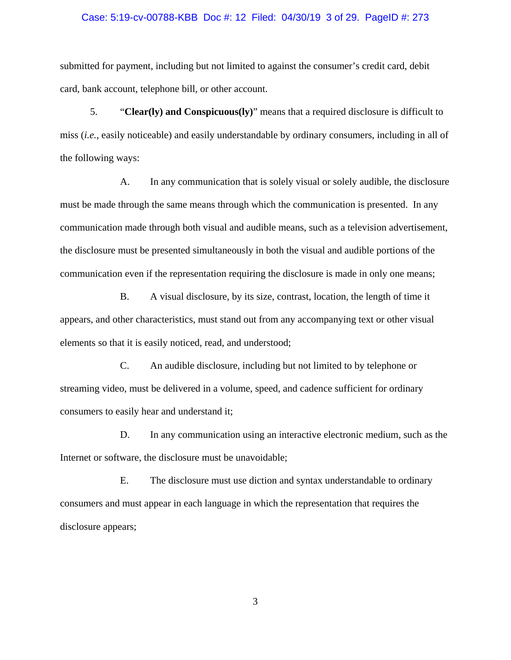#### Case: 5:19-cv-00788-KBB Doc #: 12 Filed: 04/30/19 3 of 29. PageID #: 273

submitted for payment, including but not limited to against the consumer's credit card, debit card, bank account, telephone bill, or other account.

5. "**Clear(ly) and Conspicuous(ly)**" means that a required disclosure is difficult to miss (*i.e.*, easily noticeable) and easily understandable by ordinary consumers, including in all of the following ways:

A. In any communication that is solely visual or solely audible, the disclosure must be made through the same means through which the communication is presented. In any communication made through both visual and audible means, such as a television advertisement, the disclosure must be presented simultaneously in both the visual and audible portions of the communication even if the representation requiring the disclosure is made in only one means;

B. A visual disclosure, by its size, contrast, location, the length of time it appears, and other characteristics, must stand out from any accompanying text or other visual elements so that it is easily noticed, read, and understood;

C. An audible disclosure, including but not limited to by telephone or streaming video, must be delivered in a volume, speed, and cadence sufficient for ordinary consumers to easily hear and understand it;

D. In any communication using an interactive electronic medium, such as the Internet or software, the disclosure must be unavoidable;

E. The disclosure must use diction and syntax understandable to ordinary consumers and must appear in each language in which the representation that requires the disclosure appears;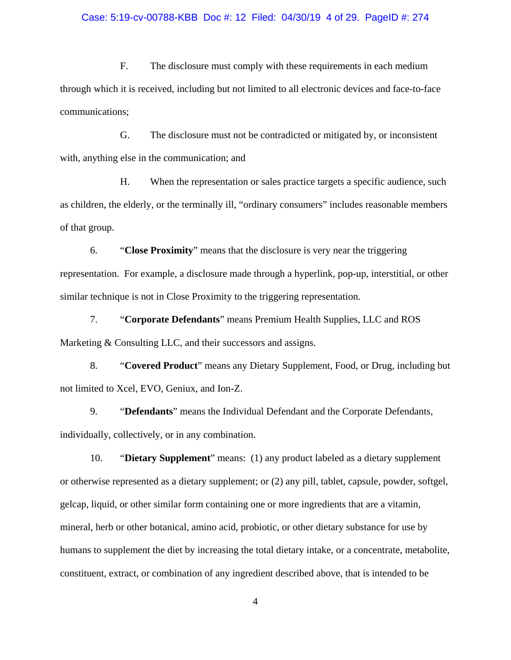## Case: 5:19-cv-00788-KBB Doc #: 12 Filed: 04/30/19 4 of 29. PageID #: 274

F. The disclosure must comply with these requirements in each medium through which it is received, including but not limited to all electronic devices and face-to-face communications;

G. The disclosure must not be contradicted or mitigated by, or inconsistent with, anything else in the communication; and

H. When the representation or sales practice targets a specific audience, such as children, the elderly, or the terminally ill, "ordinary consumers" includes reasonable members of that group.

6. "**Close Proximity**" means that the disclosure is very near the triggering representation. For example, a disclosure made through a hyperlink, pop-up, interstitial, or other similar technique is not in Close Proximity to the triggering representation.

7. "**Corporate Defendants**" means Premium Health Supplies, LLC and ROS Marketing & Consulting LLC, and their successors and assigns.

8. "**Covered Product**" means any Dietary Supplement, Food, or Drug, including but not limited to Xcel, EVO, Geniux, and Ion-Z.

9. "**Defendants**" means the Individual Defendant and the Corporate Defendants, individually, collectively, or in any combination.

10. "**Dietary Supplement**" means: (1) any product labeled as a dietary supplement or otherwise represented as a dietary supplement; or (2) any pill, tablet, capsule, powder, softgel, gelcap, liquid, or other similar form containing one or more ingredients that are a vitamin, mineral, herb or other botanical, amino acid, probiotic, or other dietary substance for use by humans to supplement the diet by increasing the total dietary intake, or a concentrate, metabolite, constituent, extract, or combination of any ingredient described above, that is intended to be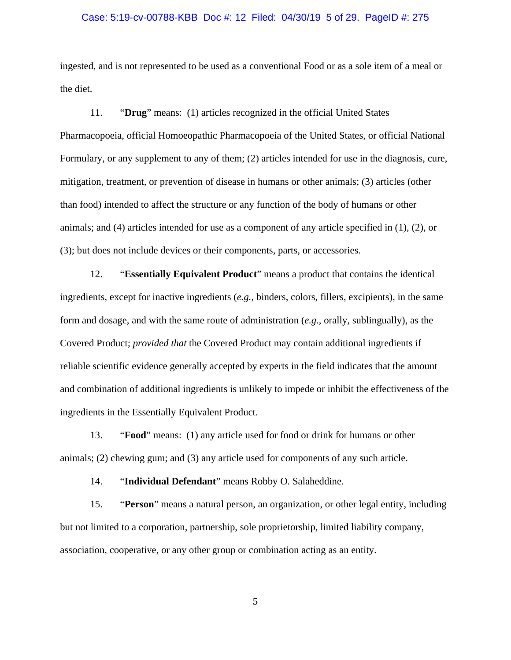#### Case: 5:19-cv-00788-KBB Doc #: 12 Filed: 04/30/19 5 of 29. PageID #: 275

ingested, and is not represented to be used as a conventional Food or as a sole item of a meal or the diet.

 11. "**Drug**" means: (1) articles recognized in the official United States Pharmacopoeia, official Homoeopathic Pharmacopoeia of the United States, or official National Formulary, or any supplement to any of them; (2) articles intended for use in the diagnosis, cure, mitigation, treatment, or prevention of disease in humans or other animals; (3) articles (other than food) intended to affect the structure or any function of the body of humans or other animals; and (4) articles intended for use as a component of any article specified in (1), (2), or (3); but does not include devices or their components, parts, or accessories.

 12. "**Essentially Equivalent Product**" means a product that contains the identical ingredients, except for inactive ingredients (*e.g.*, binders, colors, fillers, excipients), in the same form and dosage, and with the same route of administration (*e.g.*, orally, sublingually), as the Covered Product; *provided that* the Covered Product may contain additional ingredients if reliable scientific evidence generally accepted by experts in the field indicates that the amount and combination of additional ingredients is unlikely to impede or inhibit the effectiveness of the ingredients in the Essentially Equivalent Product.

13. "**Food**" means: (1) any article used for food or drink for humans or other animals; (2) chewing gum; and (3) any article used for components of any such article.

14. "**Individual Defendant**" means Robby O. Salaheddine.

15. "**Person**" means a natural person, an organization, or other legal entity, including but not limited to a corporation, partnership, sole proprietorship, limited liability company, association, cooperative, or any other group or combination acting as an entity.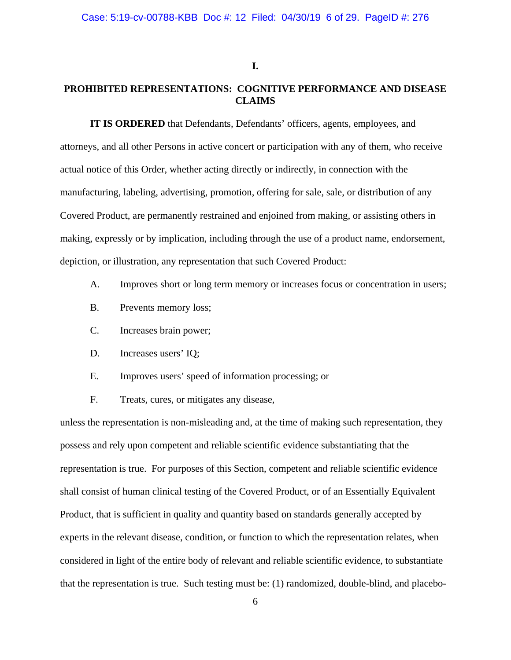# **I.**

# **PROHIBITED REPRESENTATIONS: COGNITIVE PERFORMANCE AND DISEASE CLAIMS**

**IT IS ORDERED** that Defendants, Defendants' officers, agents, employees, and attorneys, and all other Persons in active concert or participation with any of them, who receive actual notice of this Order, whether acting directly or indirectly, in connection with the manufacturing, labeling, advertising, promotion, offering for sale, sale, or distribution of any Covered Product, are permanently restrained and enjoined from making, or assisting others in making, expressly or by implication, including through the use of a product name, endorsement, depiction, or illustration, any representation that such Covered Product:

- A. Improves short or long term memory or increases focus or concentration in users;
- B. Prevents memory loss;
- C. Increases brain power;
- D. Increases users' IQ;
- E. Improves users' speed of information processing; or
- F. Treats, cures, or mitigates any disease,

unless the representation is non-misleading and, at the time of making such representation, they possess and rely upon competent and reliable scientific evidence substantiating that the representation is true. For purposes of this Section, competent and reliable scientific evidence shall consist of human clinical testing of the Covered Product, or of an Essentially Equivalent Product, that is sufficient in quality and quantity based on standards generally accepted by experts in the relevant disease, condition, or function to which the representation relates, when considered in light of the entire body of relevant and reliable scientific evidence, to substantiate that the representation is true. Such testing must be: (1) randomized, double-blind, and placebo-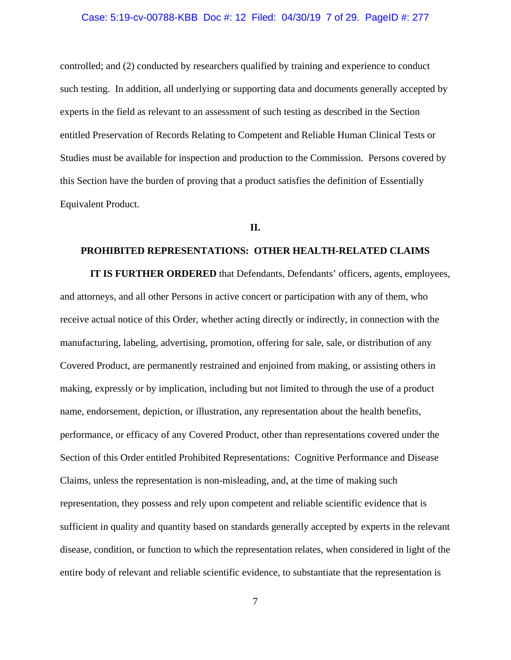### Case: 5:19-cv-00788-KBB Doc #: 12 Filed: 04/30/19 7 of 29. PageID #: 277

controlled; and (2) conducted by researchers qualified by training and experience to conduct such testing. In addition, all underlying or supporting data and documents generally accepted by experts in the field as relevant to an assessment of such testing as described in the Section entitled Preservation of Records Relating to Competent and Reliable Human Clinical Tests or Studies must be available for inspection and production to the Commission. Persons covered by this Section have the burden of proving that a product satisfies the definition of Essentially Equivalent Product.

#### **II.**

# **PROHIBITED REPRESENTATIONS: OTHER HEALTH-RELATED CLAIMS**

**IT IS FURTHER ORDERED** that Defendants, Defendants' officers, agents, employees, and attorneys, and all other Persons in active concert or participation with any of them, who receive actual notice of this Order, whether acting directly or indirectly, in connection with the manufacturing, labeling, advertising, promotion, offering for sale, sale, or distribution of any Covered Product, are permanently restrained and enjoined from making, or assisting others in making, expressly or by implication, including but not limited to through the use of a product name, endorsement, depiction, or illustration, any representation about the health benefits, performance, or efficacy of any Covered Product, other than representations covered under the Section of this Order entitled Prohibited Representations: Cognitive Performance and Disease Claims, unless the representation is non-misleading, and, at the time of making such representation, they possess and rely upon competent and reliable scientific evidence that is sufficient in quality and quantity based on standards generally accepted by experts in the relevant disease, condition, or function to which the representation relates, when considered in light of the entire body of relevant and reliable scientific evidence, to substantiate that the representation is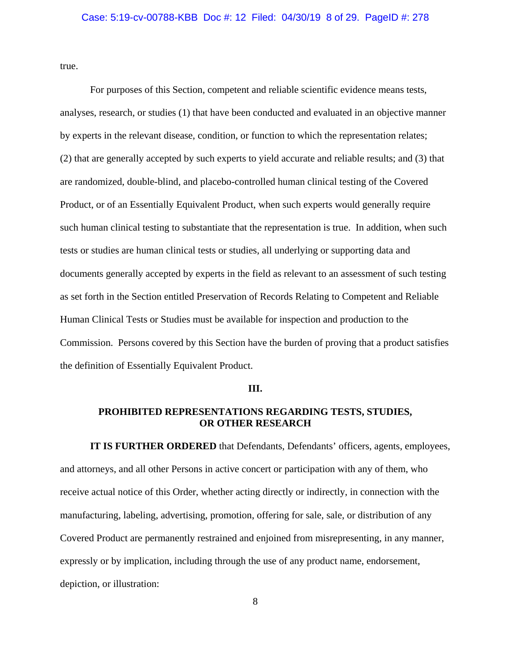true.

For purposes of this Section, competent and reliable scientific evidence means tests, analyses, research, or studies (1) that have been conducted and evaluated in an objective manner by experts in the relevant disease, condition, or function to which the representation relates; (2) that are generally accepted by such experts to yield accurate and reliable results; and (3) that are randomized, double-blind, and placebo-controlled human clinical testing of the Covered Product, or of an Essentially Equivalent Product, when such experts would generally require such human clinical testing to substantiate that the representation is true. In addition, when such tests or studies are human clinical tests or studies, all underlying or supporting data and documents generally accepted by experts in the field as relevant to an assessment of such testing as set forth in the Section entitled Preservation of Records Relating to Competent and Reliable Human Clinical Tests or Studies must be available for inspection and production to the Commission. Persons covered by this Section have the burden of proving that a product satisfies the definition of Essentially Equivalent Product.

#### **III.**

# **PROHIBITED REPRESENTATIONS REGARDING TESTS, STUDIES, OR OTHER RESEARCH**

**IT IS FURTHER ORDERED** that Defendants, Defendants' officers, agents, employees, and attorneys, and all other Persons in active concert or participation with any of them, who receive actual notice of this Order, whether acting directly or indirectly, in connection with the manufacturing, labeling, advertising, promotion, offering for sale, sale, or distribution of any Covered Product are permanently restrained and enjoined from misrepresenting, in any manner, expressly or by implication, including through the use of any product name, endorsement, depiction, or illustration: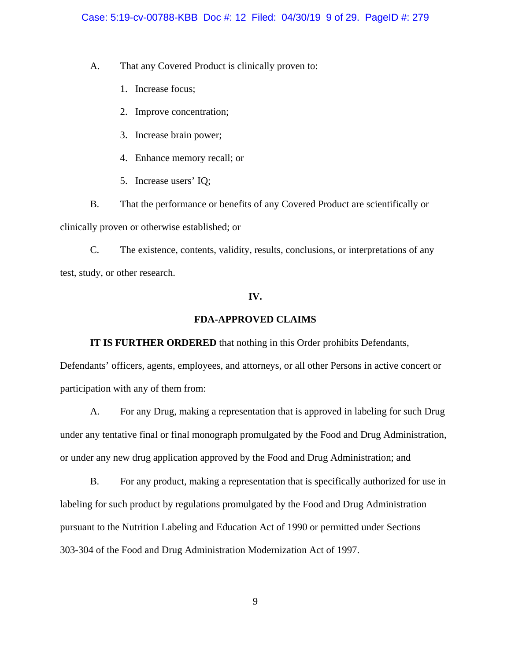## Case: 5:19-cv-00788-KBB Doc #: 12 Filed: 04/30/19 9 of 29. PageID #: 279

A. That any Covered Product is clinically proven to:

- 1. Increase focus;
- 2. Improve concentration;
- 3. Increase brain power;
- 4. Enhance memory recall; or
- 5. Increase users' IQ;

B. That the performance or benefits of any Covered Product are scientifically or clinically proven or otherwise established; or

C. The existence, contents, validity, results, conclusions, or interpretations of any test, study, or other research.

## **IV.**

## **FDA-APPROVED CLAIMS**

**IT IS FURTHER ORDERED** that nothing in this Order prohibits Defendants,

Defendants' officers, agents, employees, and attorneys, or all other Persons in active concert or participation with any of them from:

A. For any Drug, making a representation that is approved in labeling for such Drug under any tentative final or final monograph promulgated by the Food and Drug Administration, or under any new drug application approved by the Food and Drug Administration; and

B. For any product, making a representation that is specifically authorized for use in labeling for such product by regulations promulgated by the Food and Drug Administration pursuant to the Nutrition Labeling and Education Act of 1990 or permitted under Sections 303-304 of the Food and Drug Administration Modernization Act of 1997.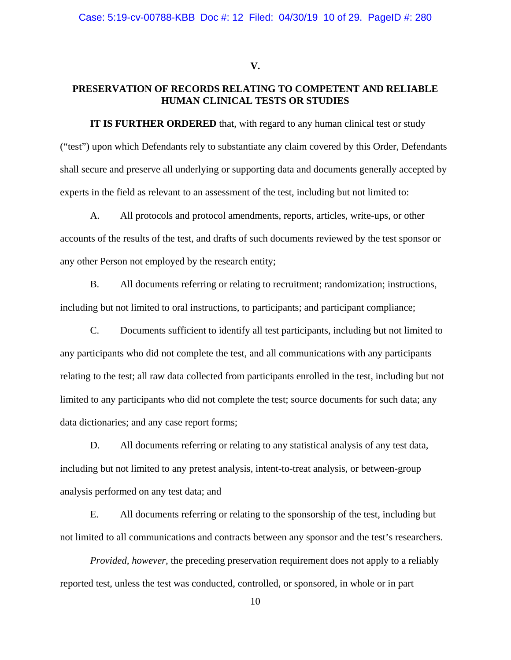**V.** 

# **PRESERVATION OF RECORDS RELATING TO COMPETENT AND RELIABLE HUMAN CLINICAL TESTS OR STUDIES**

**IT IS FURTHER ORDERED** that, with regard to any human clinical test or study ("test") upon which Defendants rely to substantiate any claim covered by this Order, Defendants shall secure and preserve all underlying or supporting data and documents generally accepted by experts in the field as relevant to an assessment of the test, including but not limited to:

A. All protocols and protocol amendments, reports, articles, write-ups, or other accounts of the results of the test, and drafts of such documents reviewed by the test sponsor or any other Person not employed by the research entity;

B. All documents referring or relating to recruitment; randomization; instructions, including but not limited to oral instructions, to participants; and participant compliance;

C. Documents sufficient to identify all test participants, including but not limited to any participants who did not complete the test, and all communications with any participants relating to the test; all raw data collected from participants enrolled in the test, including but not limited to any participants who did not complete the test; source documents for such data; any data dictionaries; and any case report forms;

D. All documents referring or relating to any statistical analysis of any test data, including but not limited to any pretest analysis, intent-to-treat analysis, or between-group analysis performed on any test data; and

E. All documents referring or relating to the sponsorship of the test, including but not limited to all communications and contracts between any sponsor and the test's researchers.

*Provided, however, the preceding preservation requirement does not apply to a reliably* reported test, unless the test was conducted, controlled, or sponsored, in whole or in part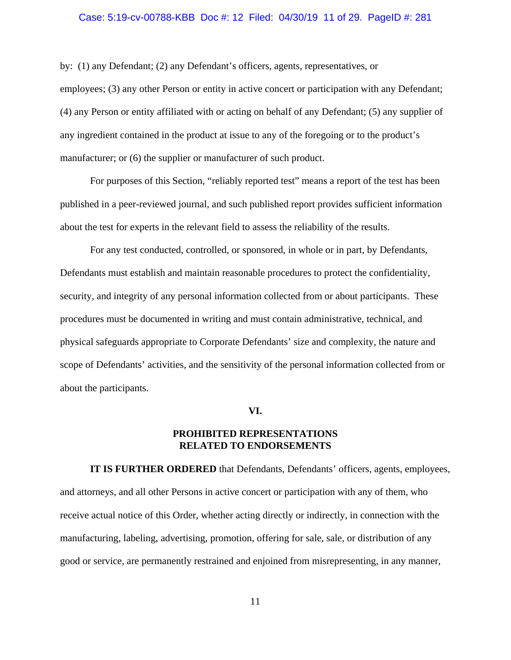### Case: 5:19-cv-00788-KBB Doc #: 12 Filed: 04/30/19 11 of 29. PageID #: 281

by: (1) any Defendant; (2) any Defendant's officers, agents, representatives, or employees; (3) any other Person or entity in active concert or participation with any Defendant; (4) any Person or entity affiliated with or acting on behalf of any Defendant; (5) any supplier of any ingredient contained in the product at issue to any of the foregoing or to the product's manufacturer; or  $(6)$  the supplier or manufacturer of such product.

For purposes of this Section, "reliably reported test" means a report of the test has been published in a peer-reviewed journal, and such published report provides sufficient information about the test for experts in the relevant field to assess the reliability of the results.

For any test conducted, controlled, or sponsored, in whole or in part, by Defendants, Defendants must establish and maintain reasonable procedures to protect the confidentiality, security, and integrity of any personal information collected from or about participants. These procedures must be documented in writing and must contain administrative, technical, and physical safeguards appropriate to Corporate Defendants' size and complexity, the nature and scope of Defendants' activities, and the sensitivity of the personal information collected from or about the participants.

#### **VI.**

# **PROHIBITED REPRESENTATIONS RELATED TO ENDORSEMENTS**

**IT IS FURTHER ORDERED** that Defendants, Defendants' officers, agents, employees, and attorneys, and all other Persons in active concert or participation with any of them, who receive actual notice of this Order, whether acting directly or indirectly, in connection with the manufacturing, labeling, advertising, promotion, offering for sale, sale, or distribution of any good or service, are permanently restrained and enjoined from misrepresenting, in any manner,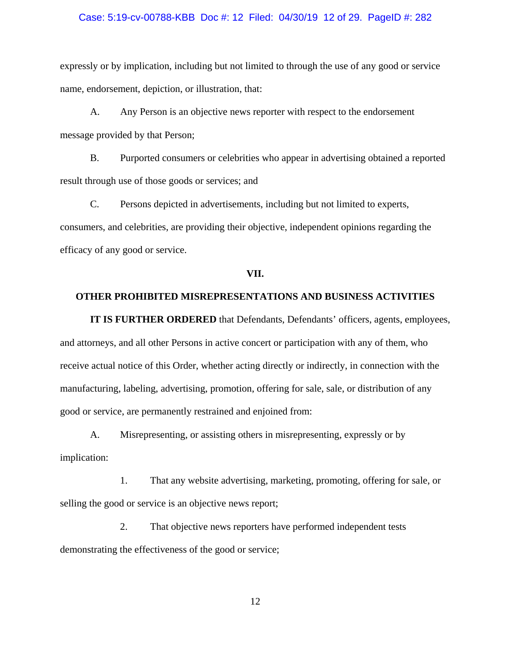#### Case: 5:19-cv-00788-KBB Doc #: 12 Filed: 04/30/19 12 of 29. PageID #: 282

expressly or by implication, including but not limited to through the use of any good or service name, endorsement, depiction, or illustration, that:

A. Any Person is an objective news reporter with respect to the endorsement message provided by that Person;

B. Purported consumers or celebrities who appear in advertising obtained a reported result through use of those goods or services; and

C. Persons depicted in advertisements, including but not limited to experts, consumers, and celebrities, are providing their objective, independent opinions regarding the efficacy of any good or service.

#### **VII.**

# **OTHER PROHIBITED MISREPRESENTATIONS AND BUSINESS ACTIVITIES**

**IT IS FURTHER ORDERED** that Defendants, Defendants' officers, agents, employees, and attorneys, and all other Persons in active concert or participation with any of them, who receive actual notice of this Order, whether acting directly or indirectly, in connection with the manufacturing, labeling, advertising, promotion, offering for sale, sale, or distribution of any good or service, are permanently restrained and enjoined from:

A. Misrepresenting, or assisting others in misrepresenting, expressly or by implication:

1. That any website advertising, marketing, promoting, offering for sale, or selling the good or service is an objective news report;

2. That objective news reporters have performed independent tests demonstrating the effectiveness of the good or service;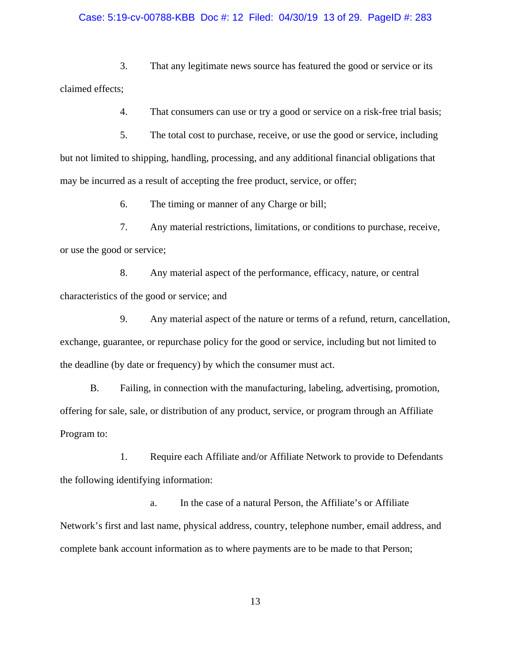#### Case: 5:19-cv-00788-KBB Doc #: 12 Filed: 04/30/19 13 of 29. PageID #: 283

3. That any legitimate news source has featured the good or service or its claimed effects;

4. That consumers can use or try a good or service on a risk-free trial basis;

5. The total cost to purchase, receive, or use the good or service, including but not limited to shipping, handling, processing, and any additional financial obligations that may be incurred as a result of accepting the free product, service, or offer;

6. The timing or manner of any Charge or bill;

7. Any material restrictions, limitations, or conditions to purchase, receive, or use the good or service;

8. Any material aspect of the performance, efficacy, nature, or central characteristics of the good or service; and

9. Any material aspect of the nature or terms of a refund, return, cancellation, exchange, guarantee, or repurchase policy for the good or service, including but not limited to the deadline (by date or frequency) by which the consumer must act.

B. Failing, in connection with the manufacturing, labeling, advertising, promotion, offering for sale, sale, or distribution of any product, service, or program through an Affiliate Program to:

1. Require each Affiliate and/or Affiliate Network to provide to Defendants the following identifying information:

a. In the case of a natural Person, the Affiliate's or Affiliate Network's first and last name, physical address, country, telephone number, email address, and complete bank account information as to where payments are to be made to that Person;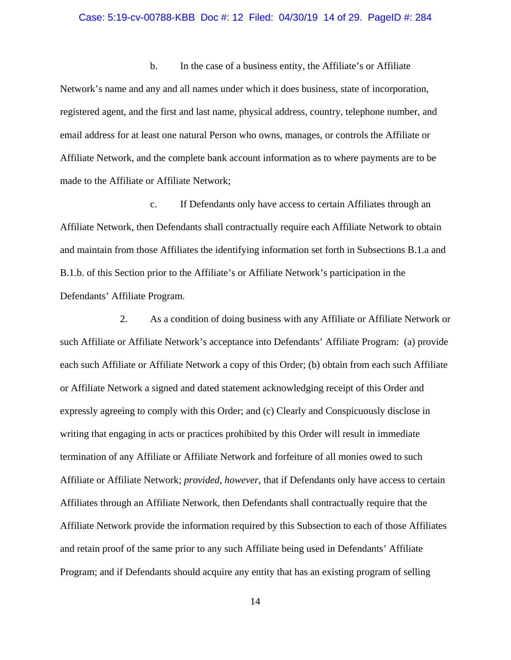#### Case: 5:19-cv-00788-KBB Doc #: 12 Filed: 04/30/19 14 of 29. PageID #: 284

b. In the case of a business entity, the Affiliate's or Affiliate Network's name and any and all names under which it does business, state of incorporation, registered agent, and the first and last name, physical address, country, telephone number, and email address for at least one natural Person who owns, manages, or controls the Affiliate or Affiliate Network, and the complete bank account information as to where payments are to be made to the Affiliate or Affiliate Network;

c. If Defendants only have access to certain Affiliates through an Affiliate Network, then Defendants shall contractually require each Affiliate Network to obtain and maintain from those Affiliates the identifying information set forth in Subsections B.1.a and B.1.b. of this Section prior to the Affiliate's or Affiliate Network's participation in the Defendants' Affiliate Program.

2. As a condition of doing business with any Affiliate or Affiliate Network or such Affiliate or Affiliate Network's acceptance into Defendants' Affiliate Program: (a) provide each such Affiliate or Affiliate Network a copy of this Order; (b) obtain from each such Affiliate or Affiliate Network a signed and dated statement acknowledging receipt of this Order and expressly agreeing to comply with this Order; and (c) Clearly and Conspicuously disclose in writing that engaging in acts or practices prohibited by this Order will result in immediate termination of any Affiliate or Affiliate Network and forfeiture of all monies owed to such Affiliate or Affiliate Network; *provided, however*, that if Defendants only have access to certain Affiliates through an Affiliate Network, then Defendants shall contractually require that the Affiliate Network provide the information required by this Subsection to each of those Affiliates and retain proof of the same prior to any such Affiliate being used in Defendants' Affiliate Program; and if Defendants should acquire any entity that has an existing program of selling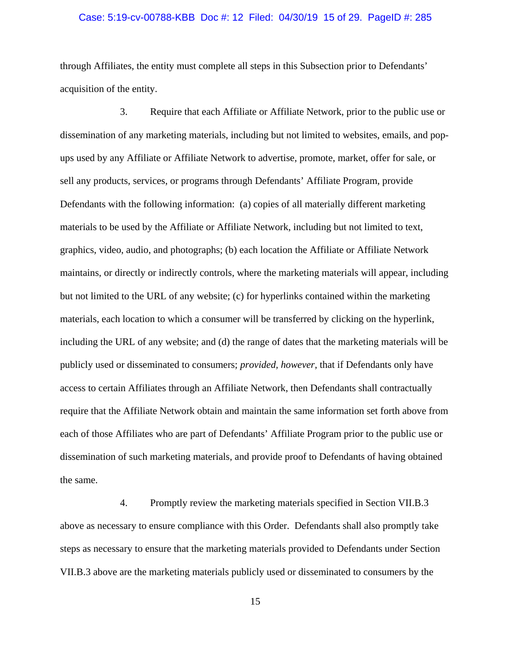### Case: 5:19-cv-00788-KBB Doc #: 12 Filed: 04/30/19 15 of 29. PageID #: 285

through Affiliates, the entity must complete all steps in this Subsection prior to Defendants' acquisition of the entity.

3. Require that each Affiliate or Affiliate Network, prior to the public use or dissemination of any marketing materials, including but not limited to websites, emails, and popups used by any Affiliate or Affiliate Network to advertise, promote, market, offer for sale, or sell any products, services, or programs through Defendants' Affiliate Program, provide Defendants with the following information: (a) copies of all materially different marketing materials to be used by the Affiliate or Affiliate Network, including but not limited to text, graphics, video, audio, and photographs; (b) each location the Affiliate or Affiliate Network maintains, or directly or indirectly controls, where the marketing materials will appear, including but not limited to the URL of any website; (c) for hyperlinks contained within the marketing materials, each location to which a consumer will be transferred by clicking on the hyperlink, including the URL of any website; and (d) the range of dates that the marketing materials will be publicly used or disseminated to consumers; *provided, however*, that if Defendants only have access to certain Affiliates through an Affiliate Network, then Defendants shall contractually require that the Affiliate Network obtain and maintain the same information set forth above from each of those Affiliates who are part of Defendants' Affiliate Program prior to the public use or dissemination of such marketing materials, and provide proof to Defendants of having obtained the same.

4. Promptly review the marketing materials specified in Section VII.B.3 above as necessary to ensure compliance with this Order. Defendants shall also promptly take steps as necessary to ensure that the marketing materials provided to Defendants under Section VII.B.3 above are the marketing materials publicly used or disseminated to consumers by the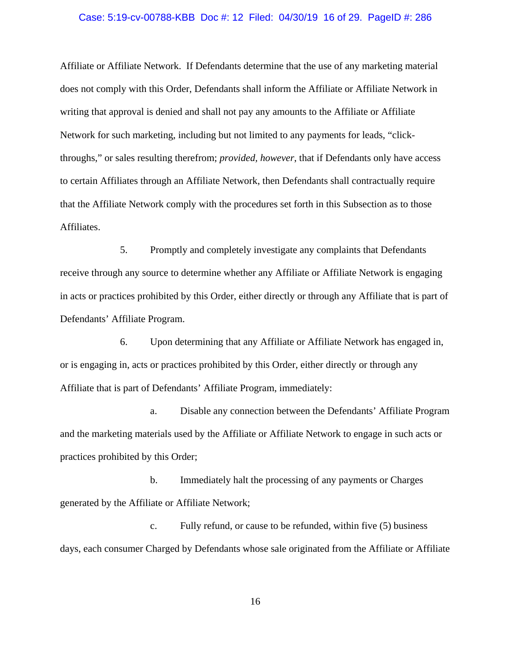#### Case: 5:19-cv-00788-KBB Doc #: 12 Filed: 04/30/19 16 of 29. PageID #: 286

Affiliate or Affiliate Network. If Defendants determine that the use of any marketing material does not comply with this Order, Defendants shall inform the Affiliate or Affiliate Network in writing that approval is denied and shall not pay any amounts to the Affiliate or Affiliate Network for such marketing, including but not limited to any payments for leads, "clickthroughs," or sales resulting therefrom; *provided, however*, that if Defendants only have access to certain Affiliates through an Affiliate Network, then Defendants shall contractually require that the Affiliate Network comply with the procedures set forth in this Subsection as to those Affiliates.

5. Promptly and completely investigate any complaints that Defendants receive through any source to determine whether any Affiliate or Affiliate Network is engaging in acts or practices prohibited by this Order, either directly or through any Affiliate that is part of Defendants' Affiliate Program.

6. Upon determining that any Affiliate or Affiliate Network has engaged in, or is engaging in, acts or practices prohibited by this Order, either directly or through any Affiliate that is part of Defendants' Affiliate Program, immediately:

a. Disable any connection between the Defendants' Affiliate Program and the marketing materials used by the Affiliate or Affiliate Network to engage in such acts or practices prohibited by this Order;

b. Immediately halt the processing of any payments or Charges generated by the Affiliate or Affiliate Network;

c. Fully refund, or cause to be refunded, within five (5) business days, each consumer Charged by Defendants whose sale originated from the Affiliate or Affiliate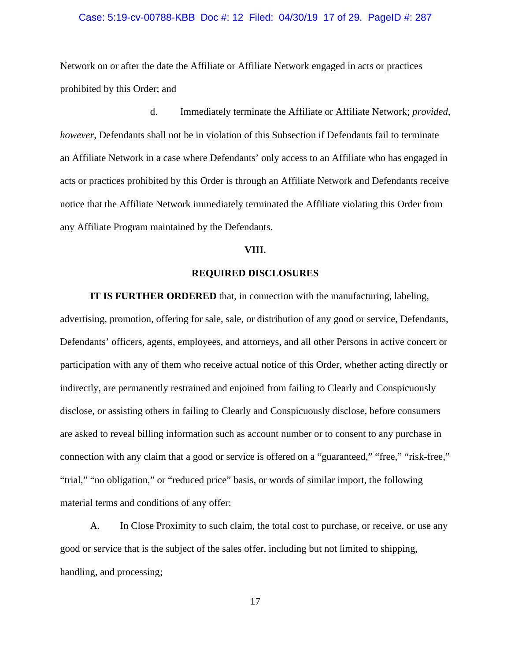#### Case: 5:19-cv-00788-KBB Doc #: 12 Filed: 04/30/19 17 of 29. PageID #: 287

Network on or after the date the Affiliate or Affiliate Network engaged in acts or practices prohibited by this Order; and

d. Immediately terminate the Affiliate or Affiliate Network; *provided, however*, Defendants shall not be in violation of this Subsection if Defendants fail to terminate an Affiliate Network in a case where Defendants' only access to an Affiliate who has engaged in acts or practices prohibited by this Order is through an Affiliate Network and Defendants receive notice that the Affiliate Network immediately terminated the Affiliate violating this Order from any Affiliate Program maintained by the Defendants.

# **VIII.**

# **REQUIRED DISCLOSURES**

**IT IS FURTHER ORDERED** that, in connection with the manufacturing, labeling, advertising, promotion, offering for sale, sale, or distribution of any good or service, Defendants, Defendants' officers, agents, employees, and attorneys, and all other Persons in active concert or participation with any of them who receive actual notice of this Order, whether acting directly or indirectly, are permanently restrained and enjoined from failing to Clearly and Conspicuously disclose, or assisting others in failing to Clearly and Conspicuously disclose, before consumers are asked to reveal billing information such as account number or to consent to any purchase in connection with any claim that a good or service is offered on a "guaranteed," "free," "risk-free," "trial," "no obligation," or "reduced price" basis, or words of similar import, the following material terms and conditions of any offer:

A. In Close Proximity to such claim, the total cost to purchase, or receive, or use any good or service that is the subject of the sales offer, including but not limited to shipping, handling, and processing;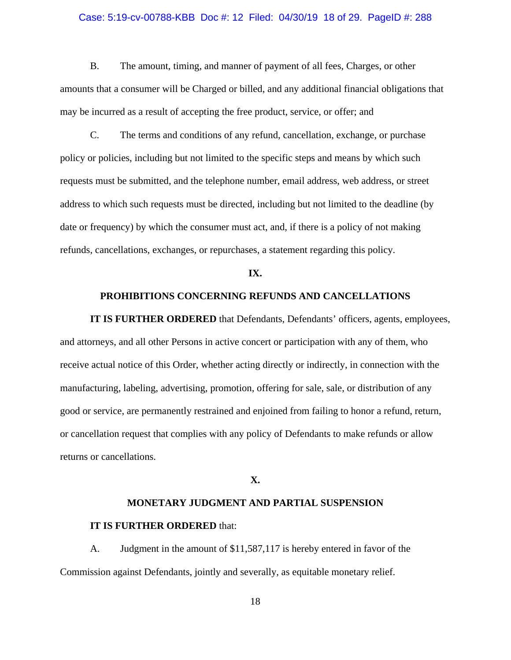### Case: 5:19-cv-00788-KBB Doc #: 12 Filed: 04/30/19 18 of 29. PageID #: 288

B. The amount, timing, and manner of payment of all fees, Charges, or other amounts that a consumer will be Charged or billed, and any additional financial obligations that may be incurred as a result of accepting the free product, service, or offer; and

C. The terms and conditions of any refund, cancellation, exchange, or purchase policy or policies, including but not limited to the specific steps and means by which such requests must be submitted, and the telephone number, email address, web address, or street address to which such requests must be directed, including but not limited to the deadline (by date or frequency) by which the consumer must act, and, if there is a policy of not making refunds, cancellations, exchanges, or repurchases, a statement regarding this policy.

#### **IX.**

## **PROHIBITIONS CONCERNING REFUNDS AND CANCELLATIONS**

**IT IS FURTHER ORDERED** that Defendants, Defendants' officers, agents, employees, and attorneys, and all other Persons in active concert or participation with any of them, who receive actual notice of this Order, whether acting directly or indirectly, in connection with the manufacturing, labeling, advertising, promotion, offering for sale, sale, or distribution of any good or service, are permanently restrained and enjoined from failing to honor a refund, return, or cancellation request that complies with any policy of Defendants to make refunds or allow returns or cancellations.

### **X.**

## **MONETARY JUDGMENT AND PARTIAL SUSPENSION**

## **IT IS FURTHER ORDERED** that:

A. Judgment in the amount of \$11,587,117 is hereby entered in favor of the Commission against Defendants, jointly and severally, as equitable monetary relief.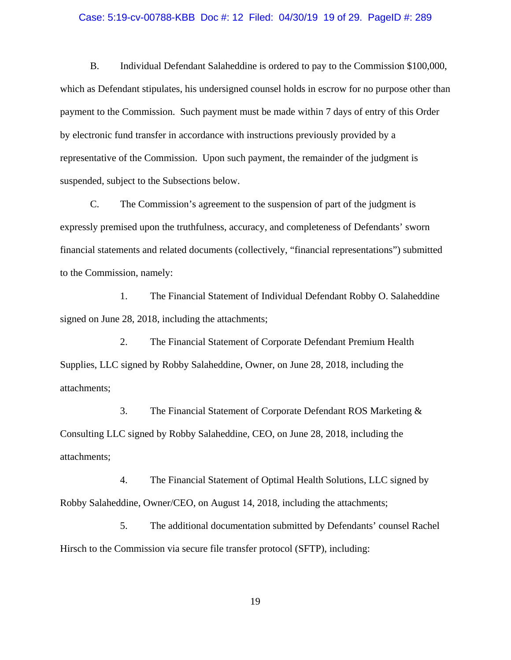#### Case: 5:19-cv-00788-KBB Doc #: 12 Filed: 04/30/19 19 of 29. PageID #: 289

B. Individual Defendant Salaheddine is ordered to pay to the Commission \$100,000, which as Defendant stipulates, his undersigned counsel holds in escrow for no purpose other than payment to the Commission. Such payment must be made within 7 days of entry of this Order by electronic fund transfer in accordance with instructions previously provided by a representative of the Commission. Upon such payment, the remainder of the judgment is suspended, subject to the Subsections below.

C. The Commission's agreement to the suspension of part of the judgment is expressly premised upon the truthfulness, accuracy, and completeness of Defendants' sworn financial statements and related documents (collectively, "financial representations") submitted to the Commission, namely:

1. The Financial Statement of Individual Defendant Robby O. Salaheddine signed on June 28, 2018, including the attachments;

2. The Financial Statement of Corporate Defendant Premium Health Supplies, LLC signed by Robby Salaheddine, Owner, on June 28, 2018, including the attachments;

3. The Financial Statement of Corporate Defendant ROS Marketing & Consulting LLC signed by Robby Salaheddine, CEO, on June 28, 2018, including the attachments;

4. The Financial Statement of Optimal Health Solutions, LLC signed by Robby Salaheddine, Owner/CEO, on August 14, 2018, including the attachments;

5. The additional documentation submitted by Defendants' counsel Rachel Hirsch to the Commission via secure file transfer protocol (SFTP), including: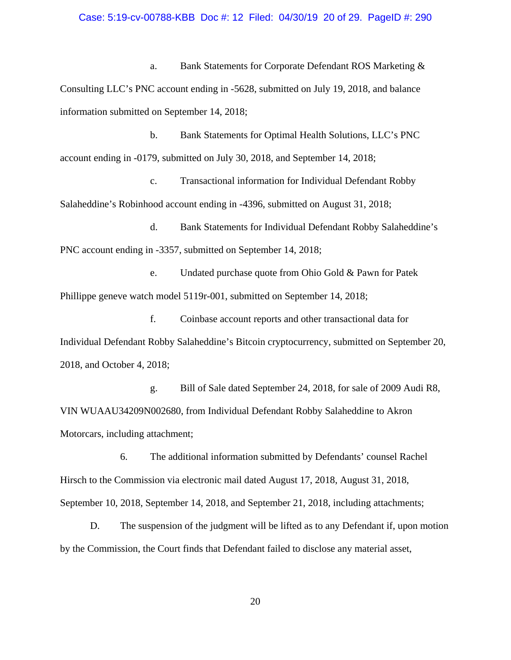a. Bank Statements for Corporate Defendant ROS Marketing & Consulting LLC's PNC account ending in -5628, submitted on July 19, 2018, and balance information submitted on September 14, 2018;

b. Bank Statements for Optimal Health Solutions, LLC's PNC account ending in -0179, submitted on July 30, 2018, and September 14, 2018;

c. Transactional information for Individual Defendant Robby Salaheddine's Robinhood account ending in -4396, submitted on August 31, 2018;

d. Bank Statements for Individual Defendant Robby Salaheddine's PNC account ending in -3357, submitted on September 14, 2018;

e. Undated purchase quote from Ohio Gold & Pawn for Patek Phillippe geneve watch model 5119r-001, submitted on September 14, 2018;

f. Coinbase account reports and other transactional data for Individual Defendant Robby Salaheddine's Bitcoin cryptocurrency, submitted on September 20, 2018, and October 4, 2018;

g. Bill of Sale dated September 24, 2018, for sale of 2009 Audi R8, VIN WUAAU34209N002680, from Individual Defendant Robby Salaheddine to Akron Motorcars, including attachment;

6. The additional information submitted by Defendants' counsel Rachel Hirsch to the Commission via electronic mail dated August 17, 2018, August 31, 2018, September 10, 2018, September 14, 2018, and September 21, 2018, including attachments;

D. The suspension of the judgment will be lifted as to any Defendant if, upon motion by the Commission, the Court finds that Defendant failed to disclose any material asset,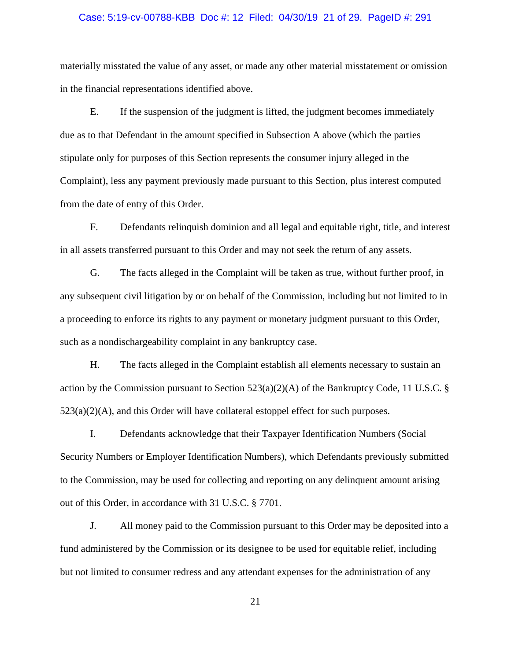#### Case: 5:19-cv-00788-KBB Doc #: 12 Filed: 04/30/19 21 of 29. PageID #: 291

materially misstated the value of any asset, or made any other material misstatement or omission in the financial representations identified above.

E. If the suspension of the judgment is lifted, the judgment becomes immediately due as to that Defendant in the amount specified in Subsection A above (which the parties stipulate only for purposes of this Section represents the consumer injury alleged in the Complaint), less any payment previously made pursuant to this Section, plus interest computed from the date of entry of this Order.

F. Defendants relinquish dominion and all legal and equitable right, title, and interest in all assets transferred pursuant to this Order and may not seek the return of any assets.

G. The facts alleged in the Complaint will be taken as true, without further proof, in any subsequent civil litigation by or on behalf of the Commission, including but not limited to in a proceeding to enforce its rights to any payment or monetary judgment pursuant to this Order, such as a nondischargeability complaint in any bankruptcy case.

H. The facts alleged in the Complaint establish all elements necessary to sustain an action by the Commission pursuant to Section 523(a)(2)(A) of the Bankruptcy Code, 11 U.S.C. §  $523(a)(2)(A)$ , and this Order will have collateral estoppel effect for such purposes.

I. Defendants acknowledge that their Taxpayer Identification Numbers (Social Security Numbers or Employer Identification Numbers), which Defendants previously submitted to the Commission, may be used for collecting and reporting on any delinquent amount arising out of this Order, in accordance with 31 U.S.C. § 7701.

J. All money paid to the Commission pursuant to this Order may be deposited into a fund administered by the Commission or its designee to be used for equitable relief, including but not limited to consumer redress and any attendant expenses for the administration of any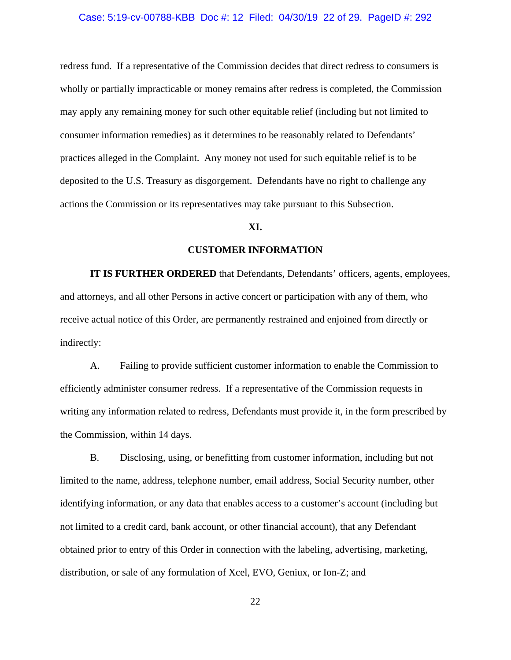#### Case: 5:19-cv-00788-KBB Doc #: 12 Filed: 04/30/19 22 of 29. PageID #: 292

redress fund. If a representative of the Commission decides that direct redress to consumers is wholly or partially impracticable or money remains after redress is completed, the Commission may apply any remaining money for such other equitable relief (including but not limited to consumer information remedies) as it determines to be reasonably related to Defendants' practices alleged in the Complaint. Any money not used for such equitable relief is to be deposited to the U.S. Treasury as disgorgement. Defendants have no right to challenge any actions the Commission or its representatives may take pursuant to this Subsection.

### **XI.**

# **CUSTOMER INFORMATION**

**IT IS FURTHER ORDERED** that Defendants, Defendants' officers, agents, employees, and attorneys, and all other Persons in active concert or participation with any of them, who receive actual notice of this Order, are permanently restrained and enjoined from directly or indirectly:

A. Failing to provide sufficient customer information to enable the Commission to efficiently administer consumer redress. If a representative of the Commission requests in writing any information related to redress, Defendants must provide it, in the form prescribed by the Commission, within 14 days.

B. Disclosing, using, or benefitting from customer information, including but not limited to the name, address, telephone number, email address, Social Security number, other identifying information, or any data that enables access to a customer's account (including but not limited to a credit card, bank account, or other financial account), that any Defendant obtained prior to entry of this Order in connection with the labeling, advertising, marketing, distribution, or sale of any formulation of Xcel, EVO, Geniux, or Ion-Z; and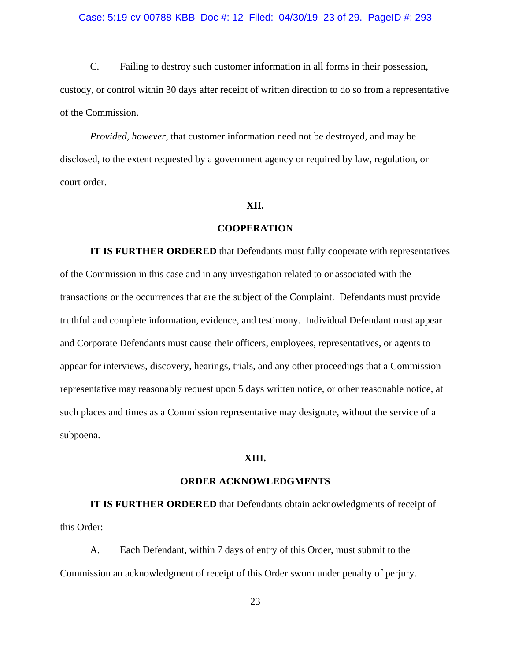#### Case: 5:19-cv-00788-KBB Doc #: 12 Filed: 04/30/19 23 of 29. PageID #: 293

C. Failing to destroy such customer information in all forms in their possession, custody, or control within 30 days after receipt of written direction to do so from a representative of the Commission.

*Provided, however,* that customer information need not be destroyed, and may be disclosed, to the extent requested by a government agency or required by law, regulation, or court order.

# **XII.**

## **COOPERATION**

**IT IS FURTHER ORDERED** that Defendants must fully cooperate with representatives of the Commission in this case and in any investigation related to or associated with the transactions or the occurrences that are the subject of the Complaint. Defendants must provide truthful and complete information, evidence, and testimony. Individual Defendant must appear and Corporate Defendants must cause their officers, employees, representatives, or agents to appear for interviews, discovery, hearings, trials, and any other proceedings that a Commission representative may reasonably request upon 5 days written notice, or other reasonable notice, at such places and times as a Commission representative may designate, without the service of a subpoena.

# **XIII.**

# **ORDER ACKNOWLEDGMENTS**

**IT IS FURTHER ORDERED** that Defendants obtain acknowledgments of receipt of this Order:

A. Each Defendant, within 7 days of entry of this Order, must submit to the Commission an acknowledgment of receipt of this Order sworn under penalty of perjury.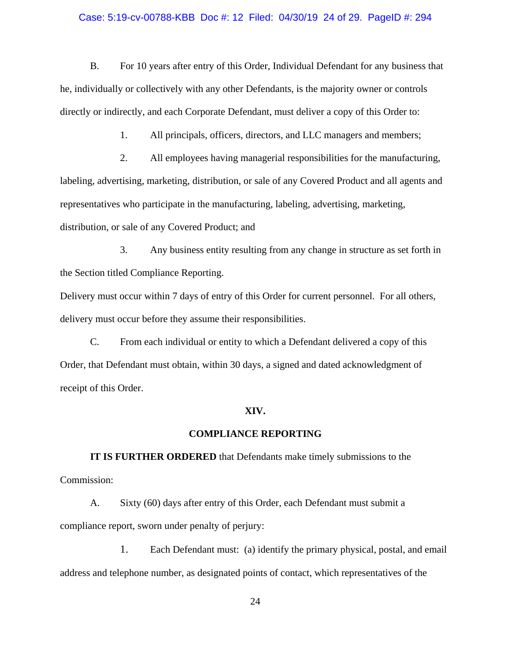## Case: 5:19-cv-00788-KBB Doc #: 12 Filed: 04/30/19 24 of 29. PageID #: 294

B. For 10 years after entry of this Order, Individual Defendant for any business that he, individually or collectively with any other Defendants, is the majority owner or controls directly or indirectly, and each Corporate Defendant, must deliver a copy of this Order to:

1. All principals, officers, directors, and LLC managers and members;

2. All employees having managerial responsibilities for the manufacturing, labeling, advertising, marketing, distribution, or sale of any Covered Product and all agents and representatives who participate in the manufacturing, labeling, advertising, marketing, distribution, or sale of any Covered Product; and

3. Any business entity resulting from any change in structure as set forth in the Section titled Compliance Reporting.

Delivery must occur within 7 days of entry of this Order for current personnel. For all others, delivery must occur before they assume their responsibilities.

C. From each individual or entity to which a Defendant delivered a copy of this Order, that Defendant must obtain, within 30 days, a signed and dated acknowledgment of receipt of this Order.

## **XIV.**

#### **COMPLIANCE REPORTING**

**IT IS FURTHER ORDERED** that Defendants make timely submissions to the Commission:

A. Sixty (60) days after entry of this Order, each Defendant must submit a compliance report, sworn under penalty of perjury:

1. Each Defendant must: (a) identify the primary physical, postal, and email address and telephone number, as designated points of contact, which representatives of the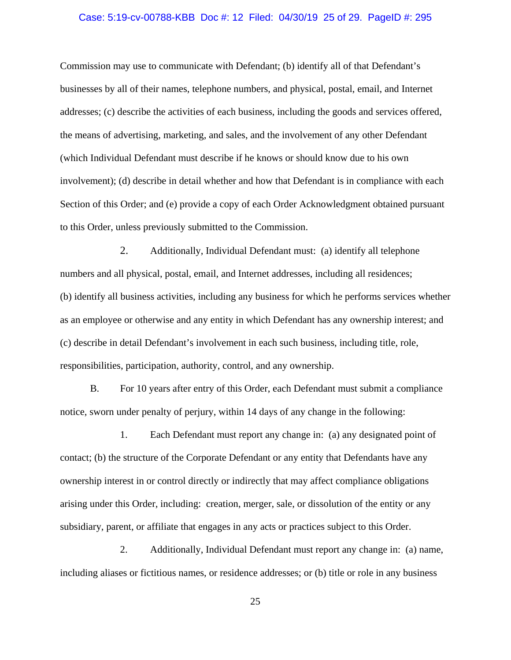### Case: 5:19-cv-00788-KBB Doc #: 12 Filed: 04/30/19 25 of 29. PageID #: 295

Commission may use to communicate with Defendant; (b) identify all of that Defendant's businesses by all of their names, telephone numbers, and physical, postal, email, and Internet addresses; (c) describe the activities of each business, including the goods and services offered, the means of advertising, marketing, and sales, and the involvement of any other Defendant (which Individual Defendant must describe if he knows or should know due to his own involvement); (d) describe in detail whether and how that Defendant is in compliance with each Section of this Order; and (e) provide a copy of each Order Acknowledgment obtained pursuant to this Order, unless previously submitted to the Commission.

2. Additionally, Individual Defendant must: (a) identify all telephone numbers and all physical, postal, email, and Internet addresses, including all residences; (b) identify all business activities, including any business for which he performs services whether as an employee or otherwise and any entity in which Defendant has any ownership interest; and (c) describe in detail Defendant's involvement in each such business, including title, role, responsibilities, participation, authority, control, and any ownership.

B. For 10 years after entry of this Order, each Defendant must submit a compliance notice, sworn under penalty of perjury, within 14 days of any change in the following:

1. Each Defendant must report any change in: (a) any designated point of contact; (b) the structure of the Corporate Defendant or any entity that Defendants have any ownership interest in or control directly or indirectly that may affect compliance obligations arising under this Order, including: creation, merger, sale, or dissolution of the entity or any subsidiary, parent, or affiliate that engages in any acts or practices subject to this Order.

2. Additionally, Individual Defendant must report any change in: (a) name, including aliases or fictitious names, or residence addresses; or (b) title or role in any business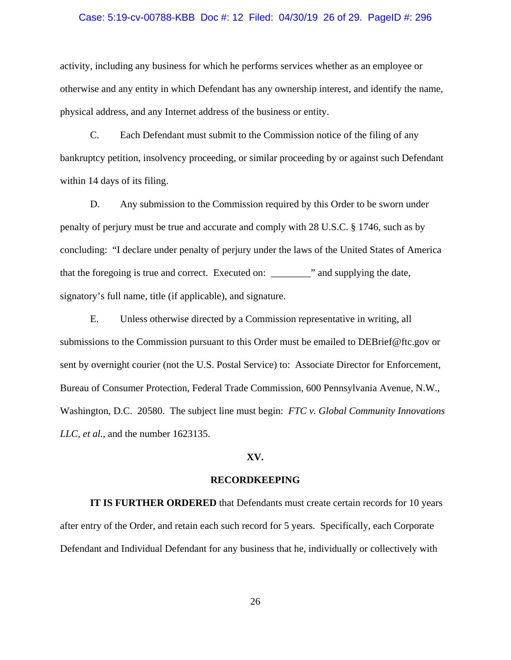#### Case: 5:19-cv-00788-KBB Doc #: 12 Filed: 04/30/19 26 of 29. PageID #: 296

activity, including any business for which he performs services whether as an employee or otherwise and any entity in which Defendant has any ownership interest, and identify the name, physical address, and any Internet address of the business or entity.

C. Each Defendant must submit to the Commission notice of the filing of any bankruptcy petition, insolvency proceeding, or similar proceeding by or against such Defendant within 14 days of its filing.

D. Any submission to the Commission required by this Order to be sworn under penalty of perjury must be true and accurate and comply with 28 U.S.C. § 1746, such as by concluding: "I declare under penalty of perjury under the laws of the United States of America that the foregoing is true and correct. Executed on: \_\_\_\_\_\_\_\_" and supplying the date, signatory's full name, title (if applicable), and signature.

E. Unless otherwise directed by a Commission representative in writing, all submissions to the Commission pursuant to this Order must be emailed to DEBrief@ftc.gov or sent by overnight courier (not the U.S. Postal Service) to: Associate Director for Enforcement, Bureau of Consumer Protection, Federal Trade Commission, 600 Pennsylvania Avenue, N.W., Washington, D.C. 20580. The subject line must begin: *FTC v. Global Community Innovations LLC, et al.,* and the number 1623135.

# **XV.**

#### **RECORDKEEPING**

**IT IS FURTHER ORDERED** that Defendants must create certain records for 10 years after entry of the Order, and retain each such record for 5 years. Specifically, each Corporate Defendant and Individual Defendant for any business that he, individually or collectively with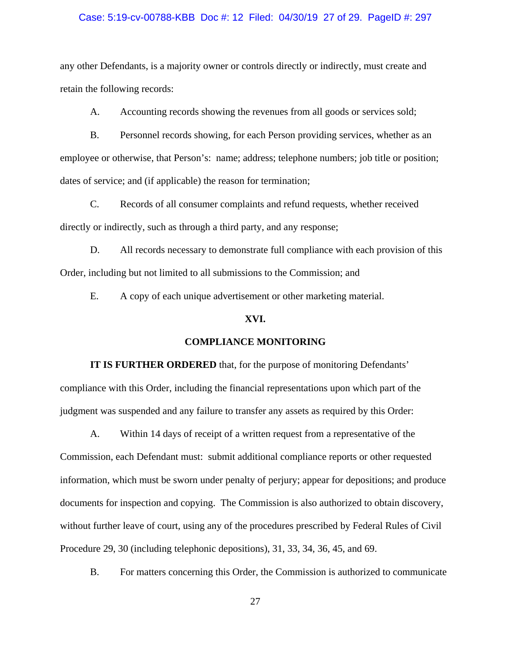### Case: 5:19-cv-00788-KBB Doc #: 12 Filed: 04/30/19 27 of 29. PageID #: 297

any other Defendants, is a majority owner or controls directly or indirectly, must create and retain the following records:

A. Accounting records showing the revenues from all goods or services sold;

B. Personnel records showing, for each Person providing services, whether as an employee or otherwise, that Person's: name; address; telephone numbers; job title or position; dates of service; and (if applicable) the reason for termination;

C. Records of all consumer complaints and refund requests, whether received directly or indirectly, such as through a third party, and any response;

D. All records necessary to demonstrate full compliance with each provision of this Order, including but not limited to all submissions to the Commission; and

E. A copy of each unique advertisement or other marketing material.

# **XVI.**

# **COMPLIANCE MONITORING**

**IT IS FURTHER ORDERED** that, for the purpose of monitoring Defendants' compliance with this Order, including the financial representations upon which part of the judgment was suspended and any failure to transfer any assets as required by this Order:

A. Within 14 days of receipt of a written request from a representative of the Commission, each Defendant must: submit additional compliance reports or other requested information, which must be sworn under penalty of perjury; appear for depositions; and produce documents for inspection and copying. The Commission is also authorized to obtain discovery, without further leave of court, using any of the procedures prescribed by Federal Rules of Civil Procedure 29, 30 (including telephonic depositions), 31, 33, 34, 36, 45, and 69.

B. For matters concerning this Order, the Commission is authorized to communicate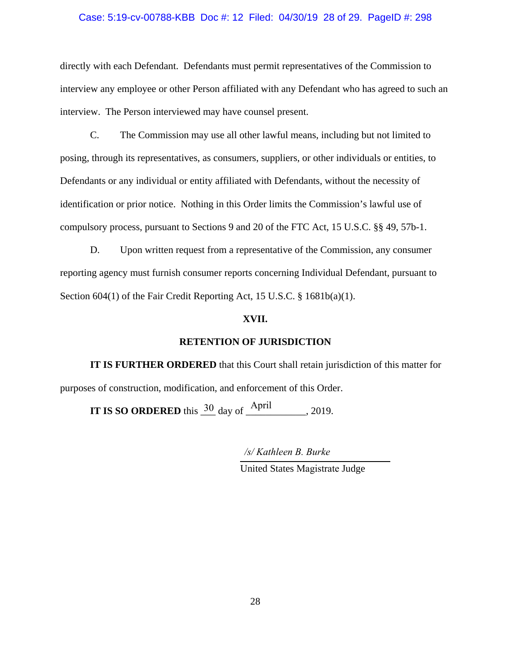# Case: 5:19-cv-00788-KBB Doc #: 12 Filed: 04/30/19 28 of 29. PageID #: 298

directly with each Defendant. Defendants must permit representatives of the Commission to interview any employee or other Person affiliated with any Defendant who has agreed to such an interview. The Person interviewed may have counsel present.

C. The Commission may use all other lawful means, including but not limited to posing, through its representatives, as consumers, suppliers, or other individuals or entities, to Defendants or any individual or entity affiliated with Defendants, without the necessity of identification or prior notice. Nothing in this Order limits the Commission's lawful use of compulsory process, pursuant to Sections 9 and 20 of the FTC Act, 15 U.S.C. §§ 49, 57b-1.

D. Upon written request from a representative of the Commission, any consumer reporting agency must furnish consumer reports concerning Individual Defendant, pursuant to Section 604(1) of the Fair Credit Reporting Act, 15 U.S.C. § 1681b(a)(1).

# **XVII.**

# **RETENTION OF JURISDICTION**

**IT IS FURTHER ORDERED** that this Court shall retain jurisdiction of this matter for purposes of construction, modification, and enforcement of this Order.

**IT IS SO ORDERED** this  $\frac{30}{2}$  day of  $\frac{April}{ }$ , 2019.

*/s/ Kathleen B. Burke*

United States Magistrate Judge